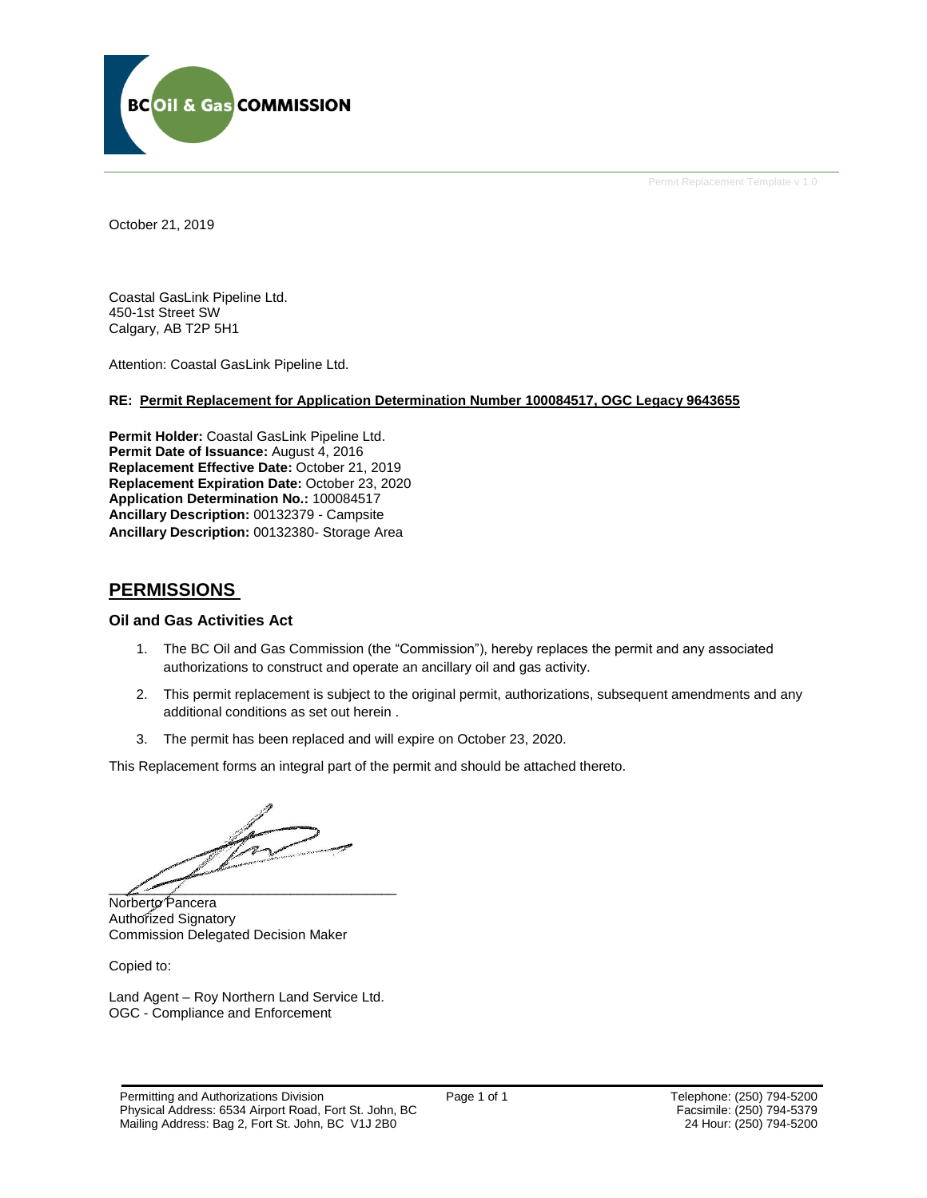

Permit Replacement Template v 1.0

October 21, 2019

Coastal GasLink Pipeline Ltd. 450-1st Street SW Calgary, AB T2P 5H1

Attention: Coastal GasLink Pipeline Ltd.

# **RE: Permit Replacement for Application Determination Number 100084517, OGC Legacy 9643655**

**Permit Holder:** Coastal GasLink Pipeline Ltd. Permit Date of Issuance: August 4, 2016 **Replacement Effective Date:** October 21, 2019 **Replacement Expiration Date:** October 23, 2020 **Application Determination No.:** 100084517 **Ancillary Description:** 00132379 - Campsite **Ancillary Description:** 00132380- Storage Area

# **PERMISSIONS**

# **Oil and Gas Activities Act**

- 1. The BC Oil and Gas Commission (the "Commission"), hereby replaces the permit and any associated authorizations to construct and operate an ancillary oil and gas activity.
- 2. This permit replacement is subject to the original permit, authorizations, subsequent amendments and any additional conditions as set out herein .
- 3. The permit has been replaced and will expire on October 23, 2020.

This Replacement forms an integral part of the permit and should be attached thereto.

 $\mathscr{L}$  , where  $\mathscr{L}$ 

Norberto Pancera Authorized Signatory Commission Delegated Decision Maker

Copied to:

Land Agent – Roy Northern Land Service Ltd. OGC - Compliance and Enforcement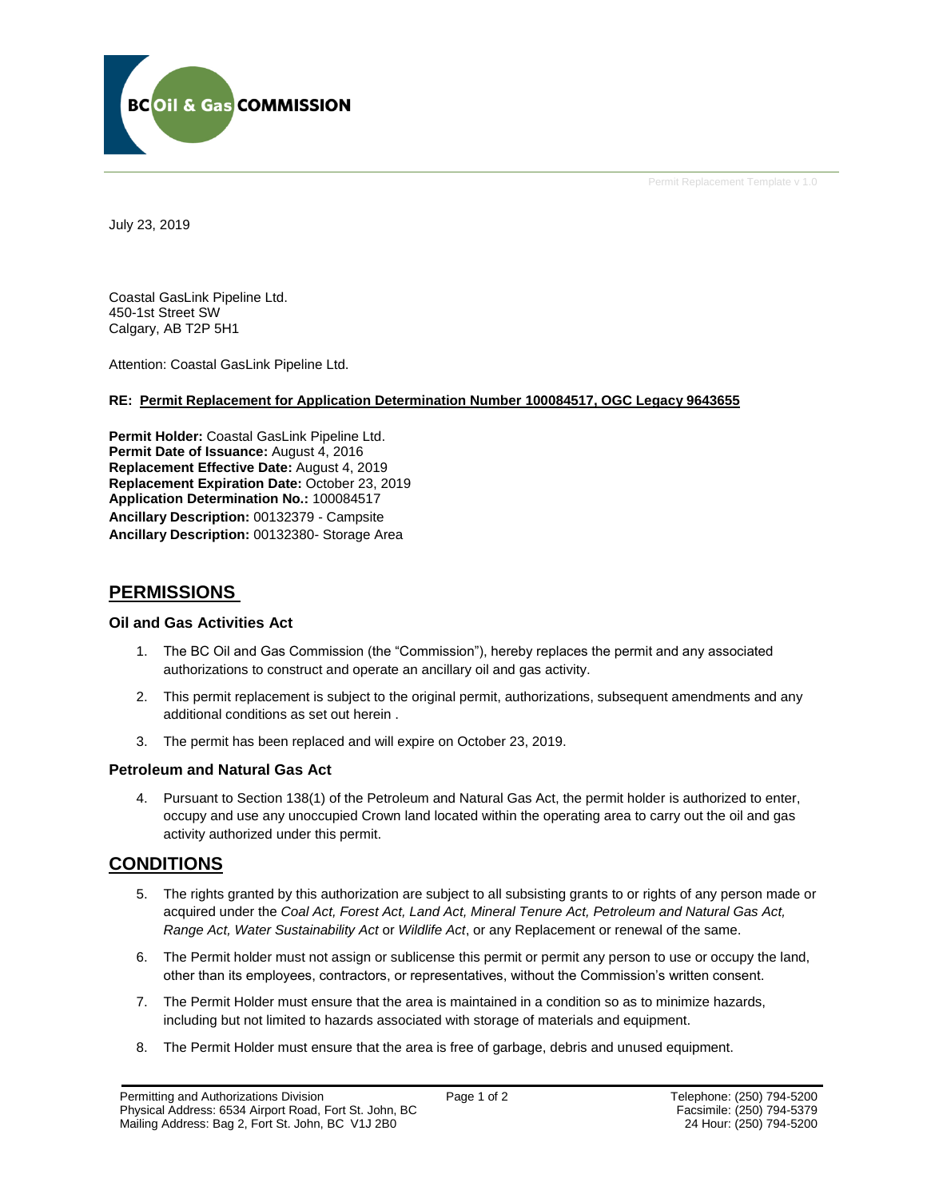

Permit Replacement Template v 1.0

July 23, 2019

Coastal GasLink Pipeline Ltd. 450-1st Street SW Calgary, AB T2P 5H1

Attention: Coastal GasLink Pipeline Ltd.

# **RE: Permit Replacement for Application Determination Number 100084517, OGC Legacy 9643655**

**Permit Holder:** Coastal GasLink Pipeline Ltd. **Permit Date of Issuance: August 4, 2016 Replacement Effective Date:** August 4, 2019 **Replacement Expiration Date:** October 23, 2019 **Application Determination No.:** 100084517 **Ancillary Description:** 00132379 - Campsite **Ancillary Description:** 00132380- Storage Area

# **PERMISSIONS**

# **Oil and Gas Activities Act**

- 1. The BC Oil and Gas Commission (the "Commission"), hereby replaces the permit and any associated authorizations to construct and operate an ancillary oil and gas activity.
- 2. This permit replacement is subject to the original permit, authorizations, subsequent amendments and any additional conditions as set out herein .
- 3. The permit has been replaced and will expire on October 23, 2019.

# **Petroleum and Natural Gas Act**

4. Pursuant to Section 138(1) of the Petroleum and Natural Gas Act, the permit holder is authorized to enter, occupy and use any unoccupied Crown land located within the operating area to carry out the oil and gas activity authorized under this permit.

# **CONDITIONS**

- 5. The rights granted by this authorization are subject to all subsisting grants to or rights of any person made or acquired under the *Coal Act, Forest Act, Land Act, Mineral Tenure Act, Petroleum and Natural Gas Act, Range Act, Water Sustainability Act* or *Wildlife Act*, or any Replacement or renewal of the same.
- 6. The Permit holder must not assign or sublicense this permit or permit any person to use or occupy the land, other than its employees, contractors, or representatives, without the Commission's written consent.
- 7. The Permit Holder must ensure that the area is maintained in a condition so as to minimize hazards, including but not limited to hazards associated with storage of materials and equipment.
- 8. The Permit Holder must ensure that the area is free of garbage, debris and unused equipment.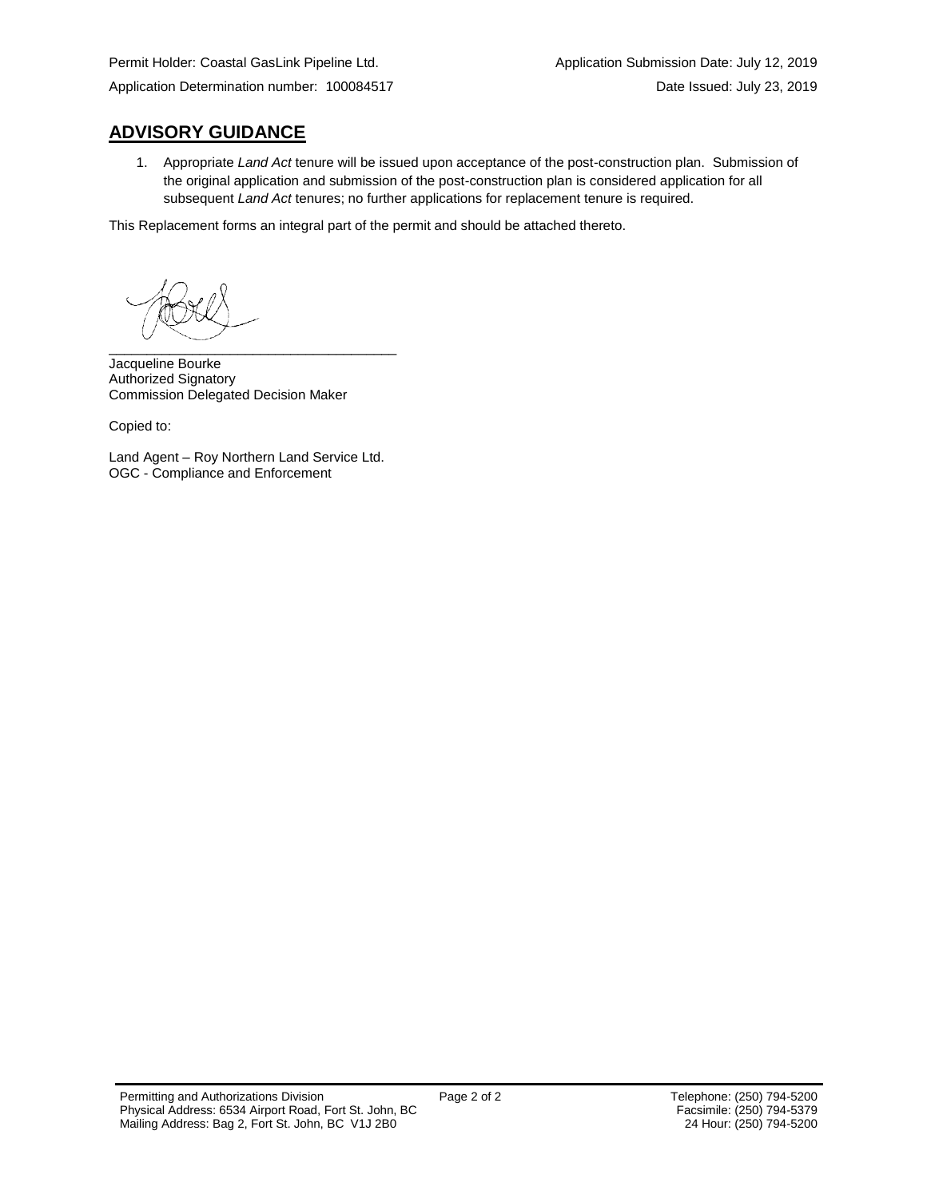# **ADVISORY GUIDANCE**

1. Appropriate *Land Act* tenure will be issued upon acceptance of the post-construction plan. Submission of the original application and submission of the post-construction plan is considered application for all subsequent *Land Act* tenures; no further applications for replacement tenure is required.

This Replacement forms an integral part of the permit and should be attached thereto.

\_\_\_\_\_\_\_\_\_\_\_\_\_\_\_\_\_\_\_\_\_\_\_\_\_\_\_\_\_\_\_\_\_\_\_\_\_\_

Jacqueline Bourke Authorized Signatory Commission Delegated Decision Maker

Copied to:

Land Agent – Roy Northern Land Service Ltd. OGC - Compliance and Enforcement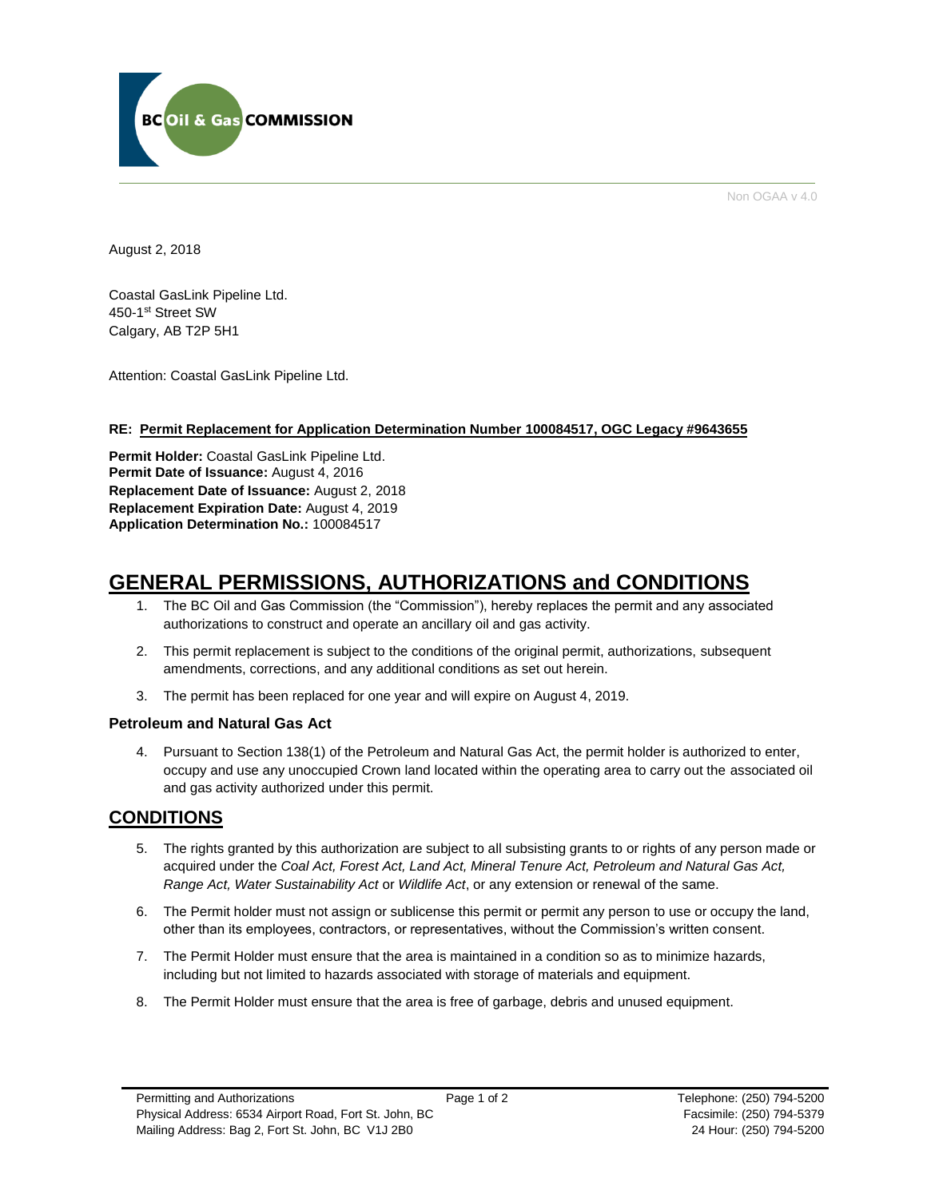

Non OGAA v 4.0

August 2, 2018

Coastal GasLink Pipeline Ltd. 450-1st Street SW Calgary, AB T2P 5H1

Attention: Coastal GasLink Pipeline Ltd.

# **RE: Permit Replacement for Application Determination Number 100084517, OGC Legacy #9643655**

**Permit Holder:** Coastal GasLink Pipeline Ltd. Permit Date of Issuance: August 4, 2016 **Replacement Date of Issuance:** August 2, 2018 **Replacement Expiration Date:** August 4, 2019 **Application Determination No.:** 100084517

# **GENERAL PERMISSIONS, AUTHORIZATIONS and CONDITIONS**

- 1. The BC Oil and Gas Commission (the "Commission"), hereby replaces the permit and any associated authorizations to construct and operate an ancillary oil and gas activity.
- 2. This permit replacement is subject to the conditions of the original permit, authorizations, subsequent amendments, corrections, and any additional conditions as set out herein.
- 3. The permit has been replaced for one year and will expire on August 4, 2019.

# **Petroleum and Natural Gas Act**

4. Pursuant to Section 138(1) of the Petroleum and Natural Gas Act, the permit holder is authorized to enter, occupy and use any unoccupied Crown land located within the operating area to carry out the associated oil and gas activity authorized under this permit.

# **CONDITIONS**

- 5. The rights granted by this authorization are subject to all subsisting grants to or rights of any person made or acquired under the *Coal Act, Forest Act, Land Act, Mineral Tenure Act, Petroleum and Natural Gas Act, Range Act, Water Sustainability Act* or *Wildlife Act*, or any extension or renewal of the same.
- 6. The Permit holder must not assign or sublicense this permit or permit any person to use or occupy the land, other than its employees, contractors, or representatives, without the Commission's written consent.
- 7. The Permit Holder must ensure that the area is maintained in a condition so as to minimize hazards, including but not limited to hazards associated with storage of materials and equipment.
- 8. The Permit Holder must ensure that the area is free of garbage, debris and unused equipment.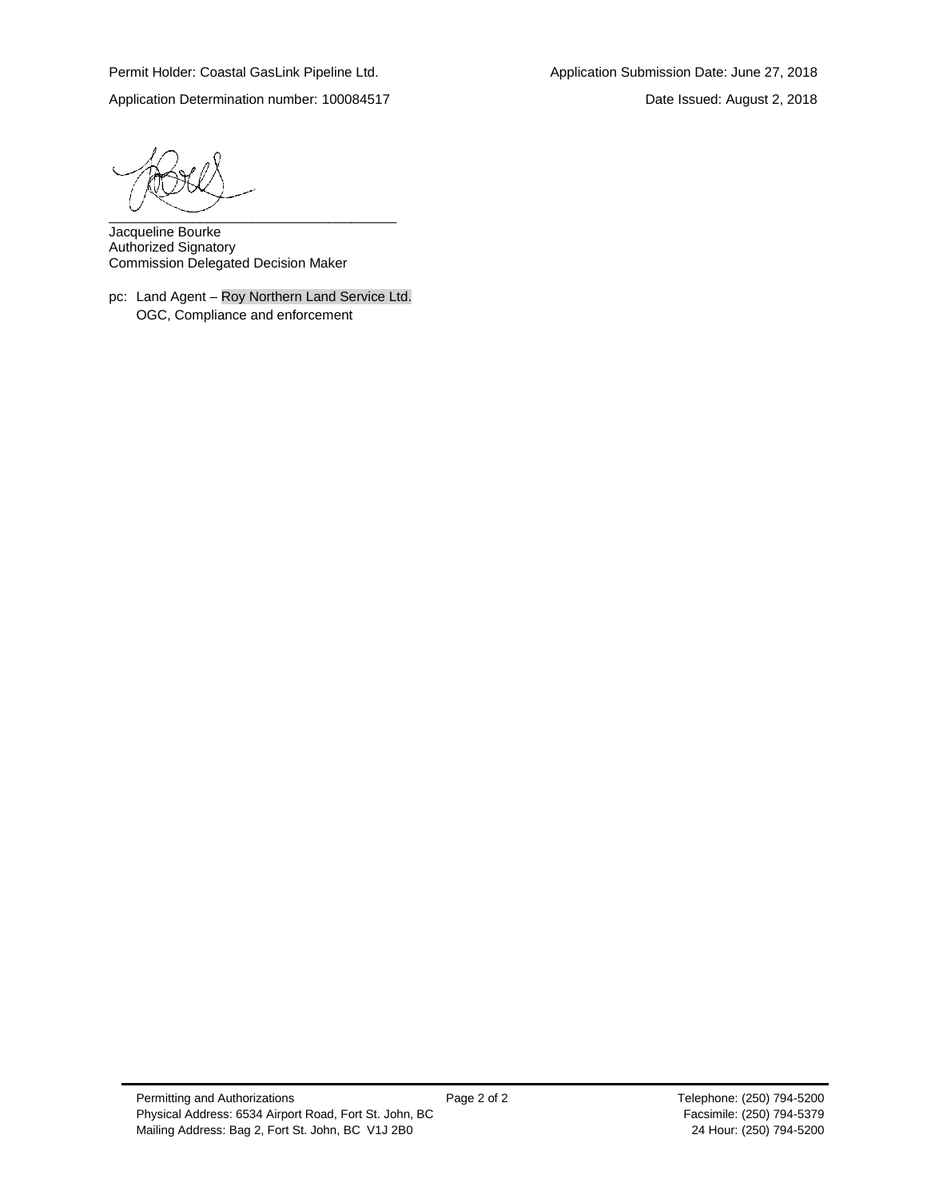Application Determination number: 100084517 Date Issued: August 2, 2018

\_\_\_\_\_\_\_\_\_\_\_\_\_\_\_\_\_\_\_\_\_\_\_\_\_\_\_\_\_\_\_\_\_\_\_\_\_\_

Jacqueline Bourke Authorized Signatory Commission Delegated Decision Maker

pc: Land Agent – Roy Northern Land Service Ltd. OGC, Compliance and enforcement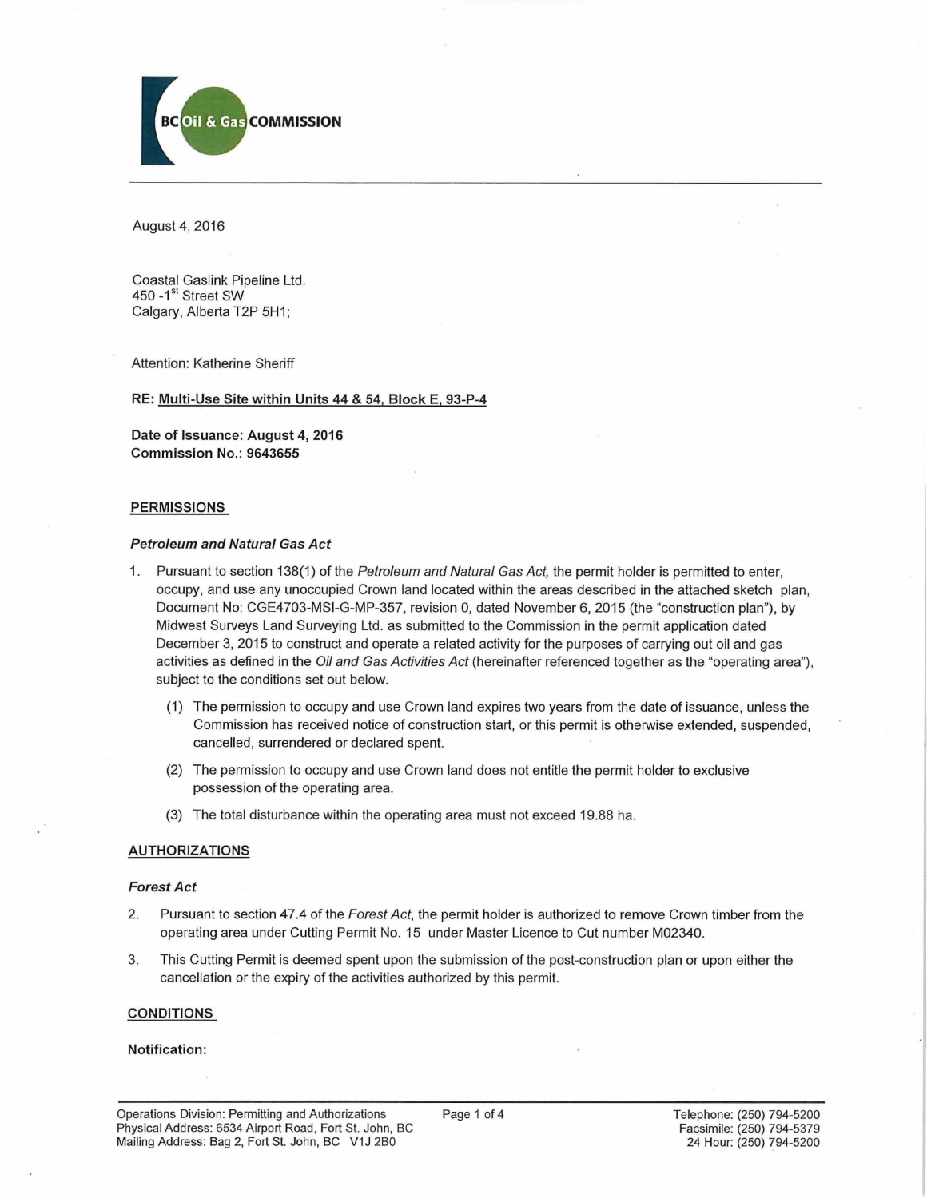

August 4, 2016

Coastal Gaslink Pipeline Ltd. 450 -1<sup>st</sup> Street SW Calgary, Alberta T2P 5H1;

Attention: Katherine Sheriff

**RE: Multi-Use Site within Units 44 & 54, Block E. 93-P-4**

**Date of Issuance: August 4, 2016 Commission No.: 9643655**

#### **PERMISSIONS**

#### *Petroleum and Natural Gas Act*

- 1. Pursuant to section 138(1) of the *Petroleum and Natural Gas Act,* the permit holder is permitted to enter, occupy, and use any unoccupied Crown land located within the areas described in the attached sketch plan, Document No: CGE4703-MSI-G-MP-357, revision 0, dated November 6, 2015 (the "construction plan"), by Midwest Surveys Land Surveying Ltd. as submitted to the Commission in the permit application dated December 3, 2015 to construct and operate a related activity for the purposes of carrying out oil and gas activities as defined in the *Oil and Gas Activities Act* (hereinafter referenced together as the "operating area"), subject to the conditions set out below.
	- (1) The permission to occupy and use Crown land expires two years from the date of issuance, unless the Commission has received notice of construction start, or this permit is otherwise extended, suspended, cancelled, surrendered or declared spent.
	- (2) The permission to occupy and use Crown land does not entitle the permit holder to exclusive possession of the operating area.
	- (3) The total disturbance within the operating area must not exceed 19.88 ha.

### **AUTHORIZATIONS**

#### *Forest Act*

- 2. Pursuant to section 47.4 of the *Forest Act,* the permit holder is authorized to remove Crown timber from the operating area under Cutting Permit No. 15 under Master Licence to Cut number M02340.
- 3. This Cutting Permit is deemed spent upon the submission of the post-construction plan or upon either the cancellation or the expiry of the activities authorized by this permit.

#### **CONDITIONS**

#### **Notification:**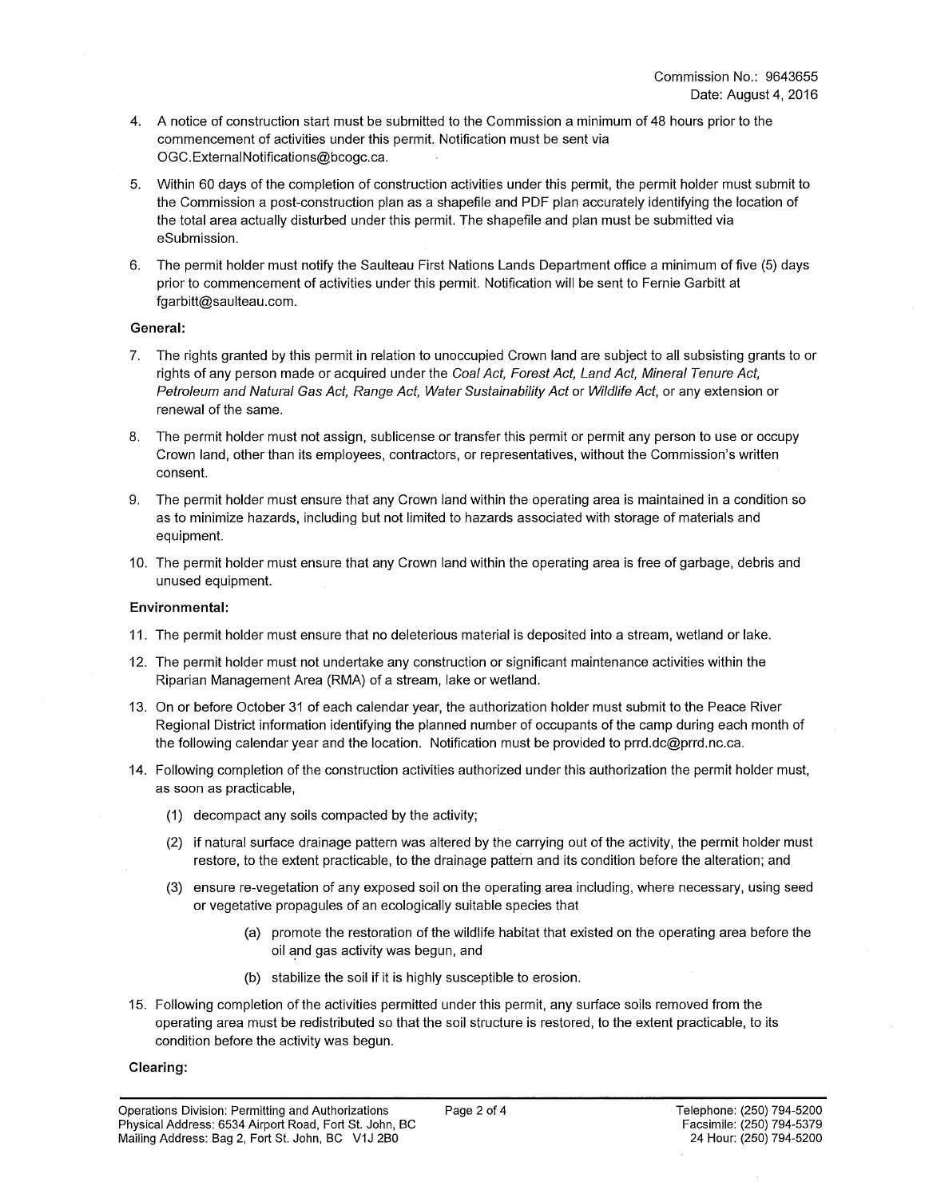- 4. A notice of construction start must be submitted to the Commission a minimum of 48 hours prior to the commencement of activities under this permit. Notification must be sent via [OGC.ExternalNotifications@bcogc.ca](mailto:OGC.ExternalNotifications@bcogc.ca).
- 5. Within 60 days of the completion of construction activities under this permit, the permit holder must submit to the Commission a post-construction plan as a shapefile and PDF plan accurately identifying the location of the total area actually disturbed under this permit. The shapefile and plan must be submitted via eSubmission.
- 6. The permit holder must notify the Saulteau First Nations Lands Department office a minimum of five (5) days prior to commencement of activities under this permit. Notification will be sent to Fernie Garbitt at [fgarbitt@saulteau.com.](mailto:fgarbitt@saulteau.com)

### **General:**

- 7. The rights granted by this permit in relation to unoccupied Crown land are subject to all subsisting grants to or rights of any person made or acquired under the *Coal Act, Forest Act, Land Act, Mineral Tenure Act, Petroleum and Natural Gas Act, Range Act, Water Sustainability Act* or *Wildlife Act,* or any extension or renewal of the same.
- 8. The permit holder must not assign, sublicense or transfer this permit or permit any person to use or occupy Crown land, other than its employees, contractors, or representatives, without the Commission's written consent.
- 9. The permit holder must ensure that any Crown land within the operating area is maintained in a condition so as to minimize hazards, including but not limited to hazards associated with storage of materials and equipment.
- 10. The permit holder must ensure that any Crown land within the operating area is free of garbage, debris and unused equipment.

### **Environmental:**

- 11. The permit holder must ensure that no deleterious material is deposited into a stream, wetland or lake.
- 12. The permit holder must not undertake any construction or significant maintenance activities within the Riparian Management Area (RMA) of a stream, lake or wetland.
- 13. On or before October 31 of each calendar year, the authorization holder must submit to the Peace River Regional District information identifying the planned number of occupants of the camp during each month of the following calendar year and the location. Notification must be provided to [prrd.dc@prrd.nc.ca.](mailto:prrd.dc@prrd.nc.ca)
- 14. Following completion of the construction activities authorized under this authorization the permit holder must, as soon as practicable,
	- (1) decompact any soils compacted by the activity;
	- (2) if natural surface drainage pattern was altered by the carrying out of the activity, the permit holder must restore, to the extent practicable, to the drainage pattern and its condition before the alteration; and
	- (3) ensure re-vegetation of any exposed soil on the operating area including, where necessary, using seed or vegetative propagules of an ecologically suitable species that
		- (a) promote the restoration of the wildlife habitat that existed on the operating area before the oil and gas activity was begun, and
		- (b) stabilize the soil if it is highly susceptible to erosion.
- 15. Following completion of the activities permitted under this permit, any surface soils removed from the operating area must be redistributed so that the soil structure is restored, to the extent practicable, to its condition before the activity was begun.

### **Clearing:**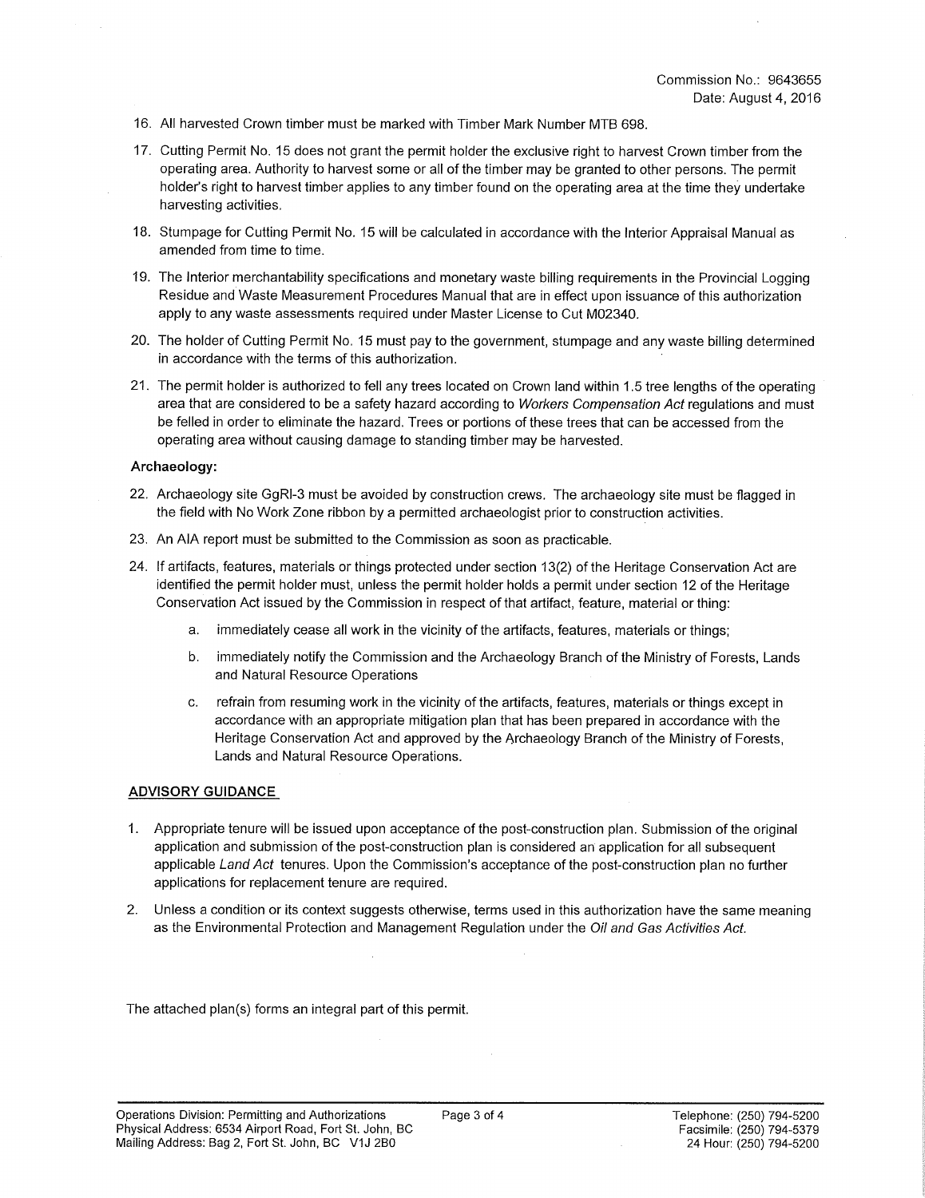- 16. All harvested Crown timber must be marked with Timber Mark Number MTB 698.
- 17. Cutting Permit No. 15 does not grant the permit holder the exclusive right to harvest Crown timber from the operating area. Authority to harvest some or all of the timber may be granted to other persons. The permit holder's right to harvest timber applies to any timber found on the operating area at the time they undertake harvesting activities.
- 18. Stumpage for Cutting Permit No. 15 will be calculated in accordance with the Interior Appraisal Manual as amended from time to time.
- 19. The Interior merchantability specifications and monetary waste billing requirements in the Provincial Logging Residue and Waste Measurement Procedures Manual that are in effect upon issuance of this authorization apply to any waste assessments required under Master License to Cut M02340.
- 20. The holder of Cutting Permit No. 15 must pay to the government, stumpage and any waste billing determined in accordance with the terms of this authorization.
- 21. The permit holder is authorized to fell any trees located on Crown land within 1.5 tree lengths of the operating area that are considered to be a safety hazard according to *Workers Compensation Act* regulations and must be felled in order to eliminate the hazard. Trees or portions of these trees that can be accessed from the operating area without causing damage to standing timber may be harvested.

### **Archaeology:**

- 22. Archaeology site GgRI-3 must be avoided by construction crews. The archaeology site must be flagged in the field with No Work Zone ribbon by a permitted archaeologist prior to construction activities.
- 23. An AIA report must be submitted to the Commission as soon as practicable.
- 24. If artifacts, features, materials or things protected under section 13(2) of the Heritage Conservation Act are identified the permit holder must, unless the permit holder holds a permit under section 12 of the Heritage Conservation Act issued by the Commission in respect of that artifact, feature, material or thing:
	- a. immediately cease all work in the vicinity of the artifacts, features, materials or things;
	- b. immediately notify the Commission and the Archaeology Branch of the Ministry of Forests, Lands and Natural Resource Operations
	- c. refrain from resuming work in the vicinity of the artifacts, features, materials or things except in accordance with an appropriate mitigation plan that has been prepared in accordance with the Heritage Conservation Act and approved by the Archaeology Branch of the Ministry of Forests, Lands and Natural Resource Operations.

### **ADVISORY GUIDANCE**

- 1. Appropriate tenure will be issued upon acceptance of the post-construction plan. Submission of the original application and submission of the post-construction plan is considered an application for all subsequent applicable *Land Act* tenures. Upon the Commission's acceptance of the post-construction plan no further applications for replacement tenure are required.
- 2. Unless a condition or its context suggests otherwise, terms used in this authorization have the same meaning as the Environmental Protection and Management Regulation under the *Oil and Gas Activities Act.*

The attached plan(s) forms an integral part of this permit.